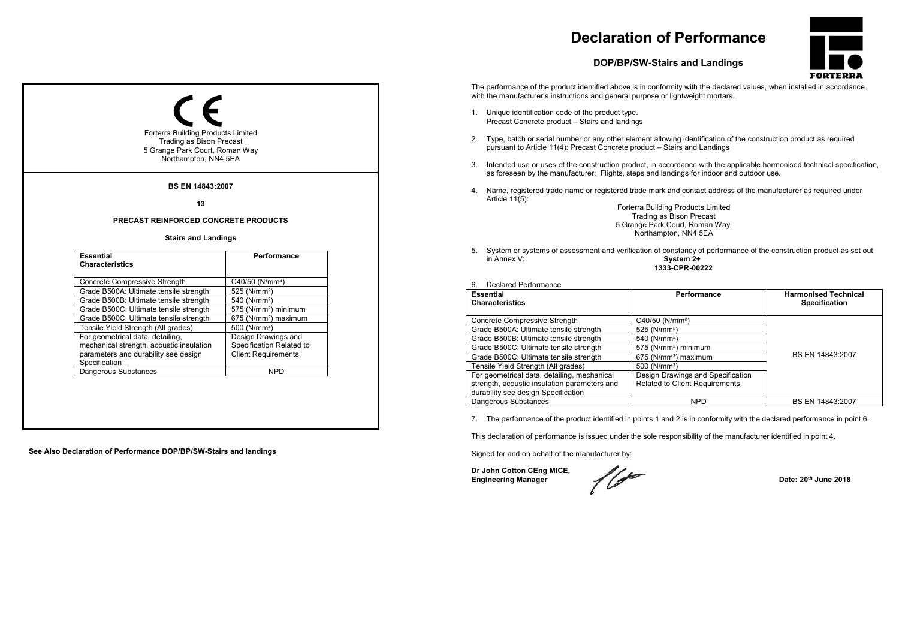# **Declaration of Performance**

### **DOP/BP/SW-Stairs and Landings**



The performance of the product identified above is in conformity with the declared values, when installed in accordance with the manufacturer's instructions and general purpose or lightweight mortars.

- 1. Unique identification code of the product type. Precast Concrete product – Stairs and landings
- 2. Type, batch or serial number or any other element allowing identification of the construction product as required pursuant to Article 11(4): Precast Concrete product – Stairs and Landings
- 3. Intended use or uses of the construction product, in accordance with the applicable harmonised technical specification, as foreseen by the manufacturer: Flights, steps and landings for indoor and outdoor use.
- 4. Name, registered trade name or registered trade mark and contact address of the manufacturer as required under Article  $11(5)$ :

Forterra Building Products Limited Trading as Bison Precast 5 Grange Park Court, Roman Way, Northampton, NN4 5EA

5. System or systems of assessment and verification of constancy of performance of the construction product as set out in Annex V. System 2+ **1333-CPR-00222** 

#### 6. Declared Performance

| <b>Essential</b><br><b>Characteristics</b>   | Performance                           | <b>Harmonised Technical</b> |
|----------------------------------------------|---------------------------------------|-----------------------------|
|                                              |                                       | <b>Specification</b>        |
| Concrete Compressive Strength                | C40/50 (N/mm <sup>2</sup> )           |                             |
| Grade B500A: Ultimate tensile strength       | 525 (N/mm <sup>2</sup> )              |                             |
| Grade B500B: Ultimate tensile strength       | 540 (N/mm <sup>2</sup> )              |                             |
| Grade B500C: Ultimate tensile strength       | 575 (N/mm <sup>2</sup> ) minimum      |                             |
| Grade B500C: Ultimate tensile strength       | 675 (N/mm <sup>2</sup> ) maximum      | BS EN 14843:2007            |
| Tensile Yield Strength (All grades)          | 500 (N/mm <sup>2</sup> )              |                             |
| For geometrical data, detailing, mechanical  | Design Drawings and Specification     |                             |
| strength, acoustic insulation parameters and | <b>Related to Client Requirements</b> |                             |
| durability see design Specification          |                                       |                             |
| Dangerous Substances                         | <b>NPD</b>                            | BS EN 14843:2007            |

7. The performance of the product identified in points 1 and 2 is in conformity with the declared performance in point 6.

This declaration of performance is issued under the sole responsibility of the manufacturer identified in point 4.

Signed for and on behalf of the manufacturer by:

**Dr John Cotton CEng MICE,**  Engineering Manager **Date: 20<sup>th</sup> June 2018** 

Forterra Building Products Limited Trading as Bison Precast 5 Grange Park Court, Roman Way Northampton, NN4 5EA **BS EN 14843:2007 13 PRECAST REINFORCED CONCRETE PRODUCTS Stairs and Landings Essential Characteristics Performance** Concrete Compressive Strength C40/50 (N/mm<sup>2</sup>)<br>Grade B500A: Ultimate tensile strength 525 (N/mm<sup>2</sup>) Grade B500A: Ultimate tensile strength 525 (N/mm<sup>2</sup>)<br>Grade B500B: Ultimate tensile strength 540 (N/mm<sup>2</sup>) Grade B500B: Ultimate tensile strength Grade B500C: Ultimate tensile strength 575 (N/mm<sup>2</sup>) minimum<br>Grade B500C: Ultimate tensile strength 675 (N/mm<sup>2</sup>) maximum Grade B500C: Ultimate tensile strength 675 (N/mm<sup>2</sup>)<br>Tensile Yield Strength (All grades) 500 (N/mm<sup>2</sup>) Tensile Yield Strength (All grades) For geometrical data, detailing, mechanical strength, acoustic insulation parameters and durability see design **Specification** Design Drawings and Specification Related to Client Requirements Dangerous Substances NPD

**See Also Declaration of Performance DOP/BP/SW-Stairs and landings**